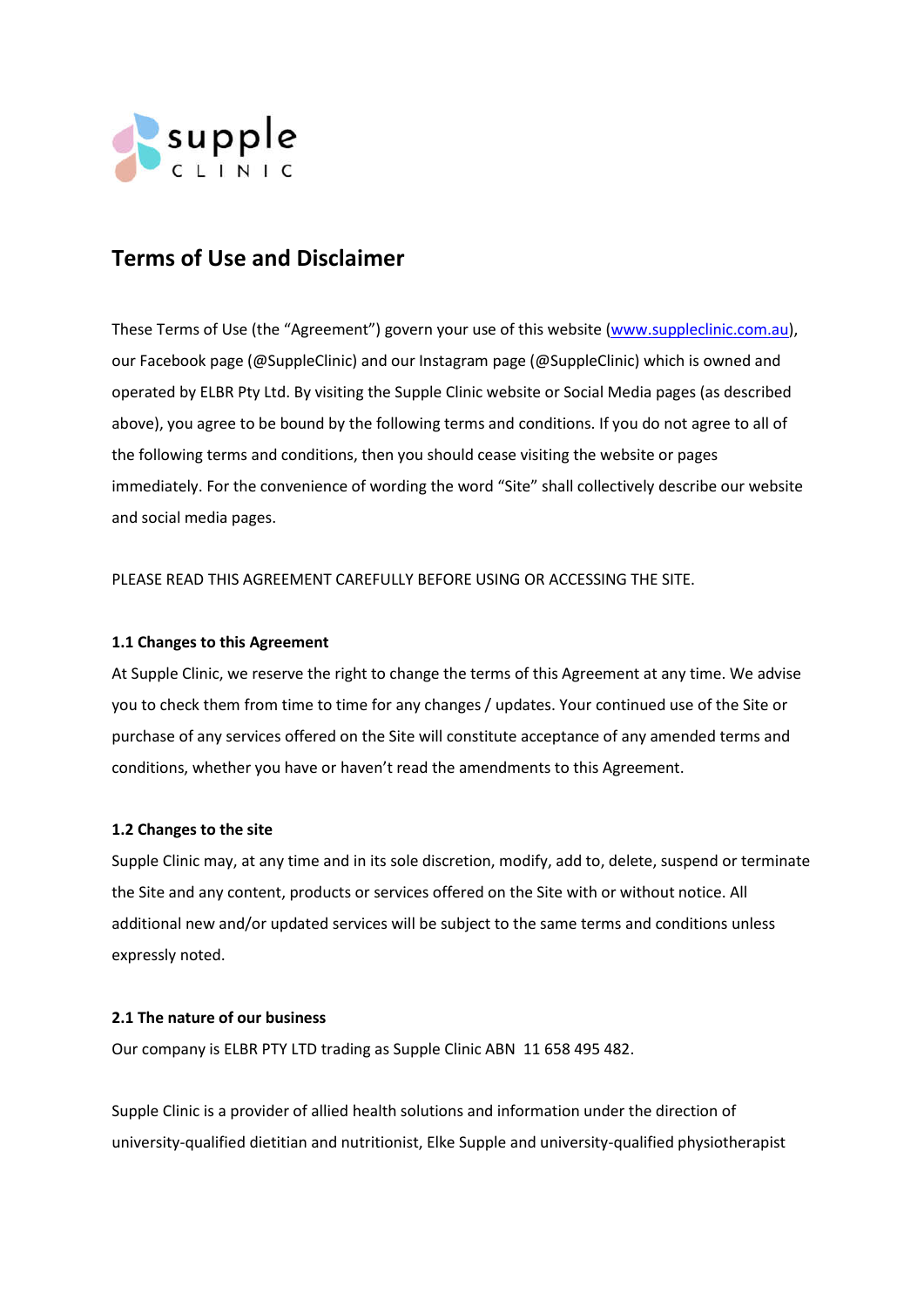

# **Terms of Use and Disclaimer**

These Terms of Use (the "Agreement") govern your use of this website (www.suppleclinic.com.au), our Facebook page (@SuppleClinic) and our Instagram page (@SuppleClinic) which is owned and operated by ELBR Pty Ltd. By visiting the Supple Clinic website or Social Media pages (as described above), you agree to be bound by the following terms and conditions. If you do not agree to all of the following terms and conditions, then you should cease visiting the website or pages immediately. For the convenience of wording the word "Site" shall collectively describe our website and social media pages.

PLEASE READ THIS AGREEMENT CAREFULLY BEFORE USING OR ACCESSING THE SITE.

# **1.1 Changes to this Agreement**

At Supple Clinic, we reserve the right to change the terms of this Agreement at any time. We advise you to check them from time to time for any changes / updates. Your continued use of the Site or purchase of any services offered on the Site will constitute acceptance of any amended terms and conditions, whether you have or haven't read the amendments to this Agreement.

# **1.2 Changes to the site**

Supple Clinic may, at any time and in its sole discretion, modify, add to, delete, suspend or terminate the Site and any content, products or services offered on the Site with or without notice. All additional new and/or updated services will be subject to the same terms and conditions unless expressly noted.

# **2.1 The nature of our business**

Our company is ELBR PTY LTD trading as Supple Clinic ABN 11 658 495 482.

Supple Clinic is a provider of allied health solutions and information under the direction of university-qualified dietitian and nutritionist, Elke Supple and university-qualified physiotherapist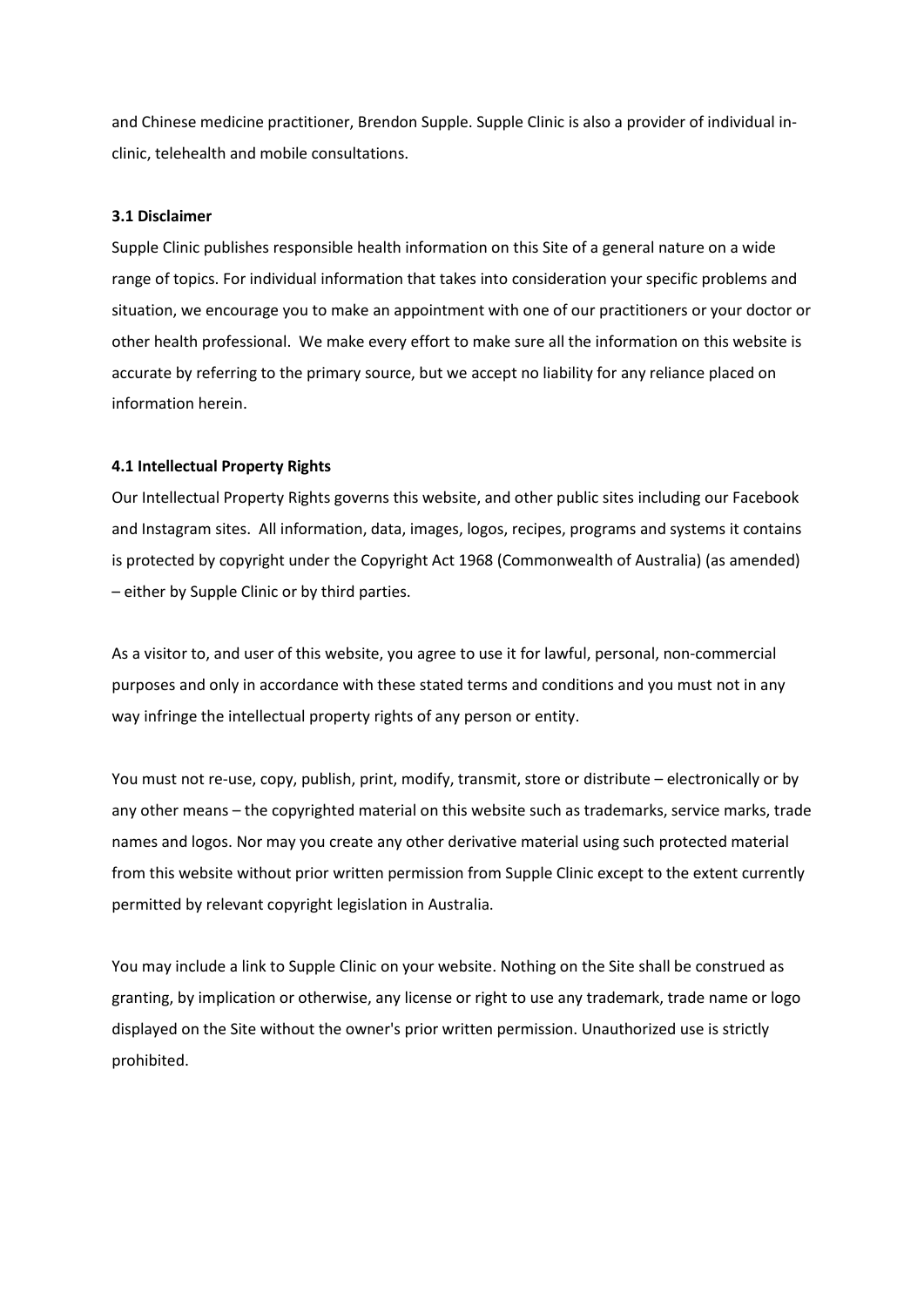and Chinese medicine practitioner, Brendon Supple. Supple Clinic is also a provider of individual inclinic, telehealth and mobile consultations.

# **3.1 Disclaimer**

Supple Clinic publishes responsible health information on this Site of a general nature on a wide range of topics. For individual information that takes into consideration your specific problems and situation, we encourage you to make an appointment with one of our practitioners or your doctor or other health professional. We make every effort to make sure all the information on this website is accurate by referring to the primary source, but we accept no liability for any reliance placed on information herein.

## **4.1 Intellectual Property Rights**

Our Intellectual Property Rights governs this website, and other public sites including our Facebook and Instagram sites. All information, data, images, logos, recipes, programs and systems it contains is protected by copyright under the Copyright Act 1968 (Commonwealth of Australia) (as amended) – either by Supple Clinic or by third parties.

As a visitor to, and user of this website, you agree to use it for lawful, personal, non-commercial purposes and only in accordance with these stated terms and conditions and you must not in any way infringe the intellectual property rights of any person or entity.

You must not re-use, copy, publish, print, modify, transmit, store or distribute – electronically or by any other means – the copyrighted material on this website such as trademarks, service marks, trade names and logos. Nor may you create any other derivative material using such protected material from this website without prior written permission from Supple Clinic except to the extent currently permitted by relevant copyright legislation in Australia.

You may include a link to Supple Clinic on your website. Nothing on the Site shall be construed as granting, by implication or otherwise, any license or right to use any trademark, trade name or logo displayed on the Site without the owner's prior written permission. Unauthorized use is strictly prohibited.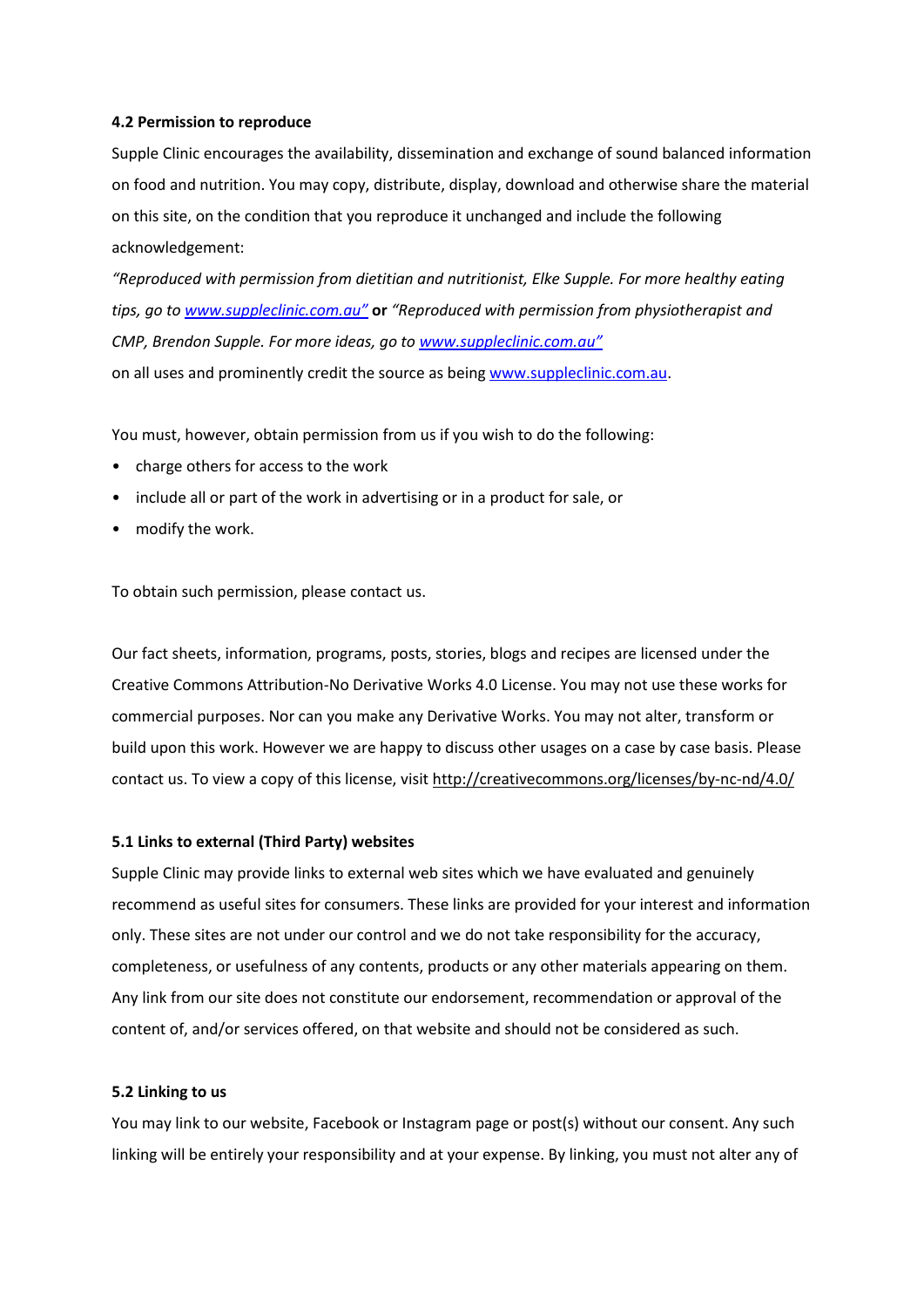# **4.2 Permission to reproduce**

Supple Clinic encourages the availability, dissemination and exchange of sound balanced information on food and nutrition. You may copy, distribute, display, download and otherwise share the material on this site, on the condition that you reproduce it unchanged and include the following acknowledgement:

*"Reproduced with permission from dietitian and nutritionist, Elke Supple. For more healthy eating tips, go to www.suppleclinic.com.au"* **or** *"Reproduced with permission from physiotherapist and CMP, Brendon Supple. For more ideas, go to www.suppleclinic.com.au"* on all uses and prominently credit the source as being www.suppleclinic.com.au.

You must, however, obtain permission from us if you wish to do the following:

- charge others for access to the work
- include all or part of the work in advertising or in a product for sale, or
- modify the work.

To obtain such permission, please contact us.

Our fact sheets, information, programs, posts, stories, blogs and recipes are licensed under the Creative Commons Attribution-No Derivative Works 4.0 License. You may not use these works for commercial purposes. Nor can you make any Derivative Works. You may not alter, transform or build upon this work. However we are happy to discuss other usages on a case by case basis. Please contact us. To view a copy of this license, visit http://creativecommons.org/licenses/by-nc-nd/4.0/

#### **5.1 Links to external (Third Party) websites**

Supple Clinic may provide links to external web sites which we have evaluated and genuinely recommend as useful sites for consumers. These links are provided for your interest and information only. These sites are not under our control and we do not take responsibility for the accuracy, completeness, or usefulness of any contents, products or any other materials appearing on them. Any link from our site does not constitute our endorsement, recommendation or approval of the content of, and/or services offered, on that website and should not be considered as such.

#### **5.2 Linking to us**

You may link to our website, Facebook or Instagram page or post(s) without our consent. Any such linking will be entirely your responsibility and at your expense. By linking, you must not alter any of